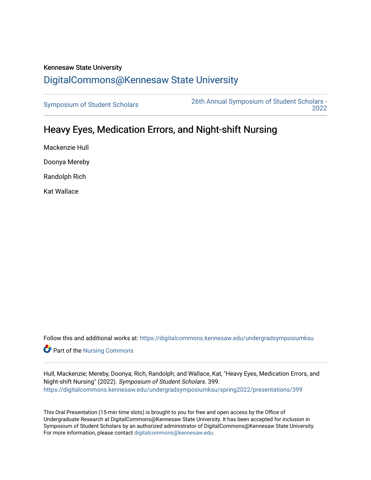## Kennesaw State University [DigitalCommons@Kennesaw State University](https://digitalcommons.kennesaw.edu/)

[Symposium of Student Scholars](https://digitalcommons.kennesaw.edu/undergradsymposiumksu) [26th Annual Symposium of Student Scholars -](https://digitalcommons.kennesaw.edu/undergradsymposiumksu/spring2022)  [2022](https://digitalcommons.kennesaw.edu/undergradsymposiumksu/spring2022) 

## Heavy Eyes, Medication Errors, and Night-shift Nursing

Mackenzie Hull Doonya Mereby Randolph Rich Kat Wallace

Follow this and additional works at: [https://digitalcommons.kennesaw.edu/undergradsymposiumksu](https://digitalcommons.kennesaw.edu/undergradsymposiumksu?utm_source=digitalcommons.kennesaw.edu%2Fundergradsymposiumksu%2Fspring2022%2Fpresentations%2F399&utm_medium=PDF&utm_campaign=PDFCoverPages) 

Part of the [Nursing Commons](http://network.bepress.com/hgg/discipline/718?utm_source=digitalcommons.kennesaw.edu%2Fundergradsymposiumksu%2Fspring2022%2Fpresentations%2F399&utm_medium=PDF&utm_campaign=PDFCoverPages) 

Hull, Mackenzie; Mereby, Doonya; Rich, Randolph; and Wallace, Kat, "Heavy Eyes, Medication Errors, and Night-shift Nursing" (2022). Symposium of Student Scholars. 399. [https://digitalcommons.kennesaw.edu/undergradsymposiumksu/spring2022/presentations/399](https://digitalcommons.kennesaw.edu/undergradsymposiumksu/spring2022/presentations/399?utm_source=digitalcommons.kennesaw.edu%2Fundergradsymposiumksu%2Fspring2022%2Fpresentations%2F399&utm_medium=PDF&utm_campaign=PDFCoverPages)

This Oral Presentation (15-min time slots) is brought to you for free and open access by the Office of Undergraduate Research at DigitalCommons@Kennesaw State University. It has been accepted for inclusion in Symposium of Student Scholars by an authorized administrator of DigitalCommons@Kennesaw State University. For more information, please contact [digitalcommons@kennesaw.edu.](mailto:digitalcommons@kennesaw.edu)